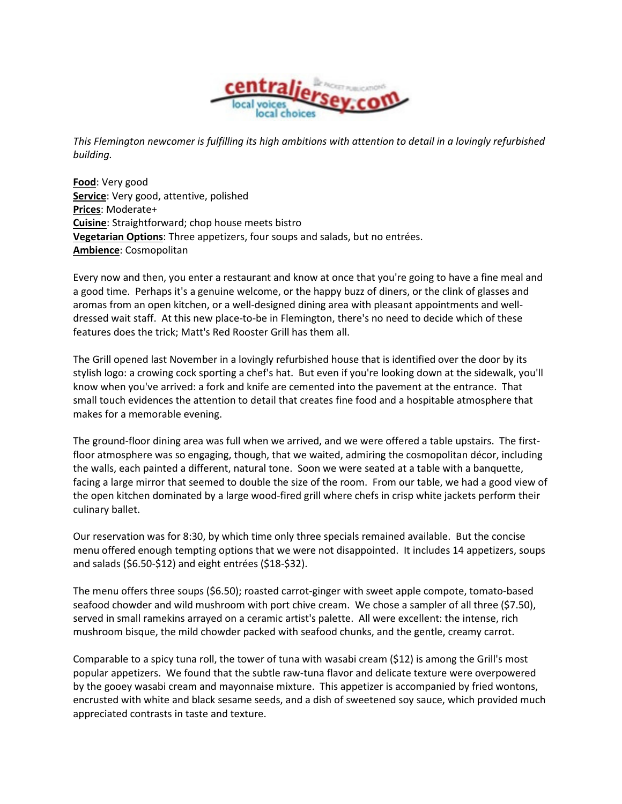

This Flemington newcomer is fulfilling its high ambitions with attention to detail in a lovingly refurbished building.

Food: Very good Service: Very good, attentive, polished Prices: Moderate+ Cuisine: Straightforward; chop house meets bistro Vegetarian Options: Three appetizers, four soups and salads, but no entrées. Ambience: Cosmopolitan

Every now and then, you enter a restaurant and know at once that you're going to have a fine meal and a good time. Perhaps it's a genuine welcome, or the happy buzz of diners, or the clink of glasses and aromas from an open kitchen, or a well-designed dining area with pleasant appointments and welldressed wait staff. At this new place-to-be in Flemington, there's no need to decide which of these features does the trick; Matt's Red Rooster Grill has them all.

The Grill opened last November in a lovingly refurbished house that is identified over the door by its stylish logo: a crowing cock sporting a chef's hat. But even if you're looking down at the sidewalk, you'll know when you've arrived: a fork and knife are cemented into the pavement at the entrance. That small touch evidences the attention to detail that creates fine food and a hospitable atmosphere that makes for a memorable evening.

The ground-floor dining area was full when we arrived, and we were offered a table upstairs. The firstfloor atmosphere was so engaging, though, that we waited, admiring the cosmopolitan décor, including the walls, each painted a different, natural tone. Soon we were seated at a table with a banquette, facing a large mirror that seemed to double the size of the room. From our table, we had a good view of the open kitchen dominated by a large wood-fired grill where chefs in crisp white jackets perform their culinary ballet.

Our reservation was for 8:30, by which time only three specials remained available. But the concise menu offered enough tempting options that we were not disappointed. It includes 14 appetizers, soups and salads (\$6.50-\$12) and eight entrées (\$18-\$32).

The menu offers three soups (\$6.50); roasted carrot-ginger with sweet apple compote, tomato-based seafood chowder and wild mushroom with port chive cream. We chose a sampler of all three (\$7.50), served in small ramekins arrayed on a ceramic artist's palette. All were excellent: the intense, rich mushroom bisque, the mild chowder packed with seafood chunks, and the gentle, creamy carrot.

Comparable to a spicy tuna roll, the tower of tuna with wasabi cream (\$12) is among the Grill's most popular appetizers. We found that the subtle raw-tuna flavor and delicate texture were overpowered by the gooey wasabi cream and mayonnaise mixture. This appetizer is accompanied by fried wontons, encrusted with white and black sesame seeds, and a dish of sweetened soy sauce, which provided much appreciated contrasts in taste and texture.